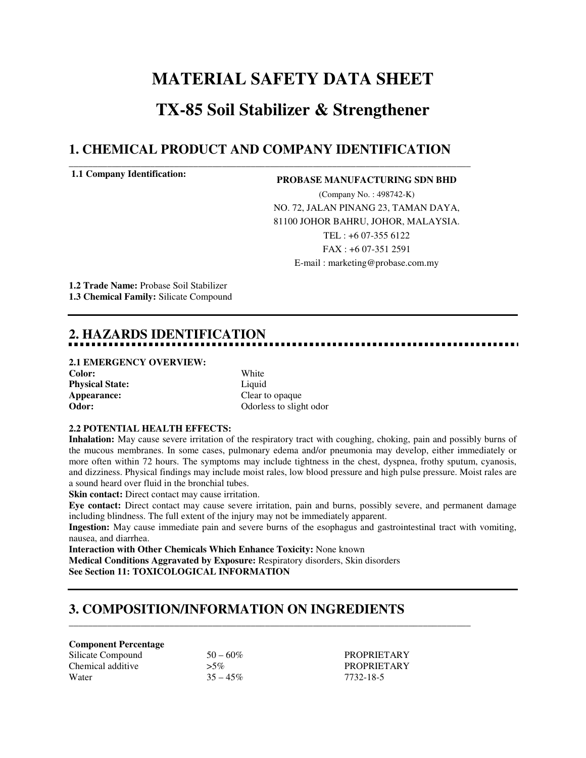# **MATERIAL SAFETY DATA SHEET TX-85 Soil Stabilizer & Strengthener**

### **1. CHEMICAL PRODUCT AND COMPANY IDENTIFICATION**

**\_\_\_\_\_\_\_\_\_\_\_\_\_\_\_\_\_\_\_\_\_\_\_\_\_\_\_\_\_\_\_\_\_\_\_\_\_\_\_\_\_\_\_\_\_\_\_\_\_\_\_\_\_\_\_\_\_\_\_\_\_\_\_\_\_\_\_\_\_\_\_\_\_\_\_\_\_\_\_\_\_\_\_\_** 

#### **1.1 Company Identification:**

#### **PROBASE MANUFACTURING SDN BHD**

(Company No. : 498742-K) NO. 72, JALAN PINANG 23, TAMAN DAYA, 81100 JOHOR BAHRU, JOHOR, MALAYSIA. TEL : +6 07-355 6122 FAX : +6 07-351 2591 E-mail : marketing@probase.com.my

**1.2 Trade Name:** Probase Soil Stabilizer **1.3 Chemical Family:** Silicate Compound

## **2. HAZARDS IDENTIFICATION**

## **2.1 EMERGENCY OVERVIEW:**

**Color:** White **Physical State:** Liquid **Appearance:** Clear to opaque<br> **Odor:** Clear to opaque<br>
Odorless to slight

Odorless to slight odor

#### **2.2 POTENTIAL HEALTH EFFECTS:**

**Inhalation:** May cause severe irritation of the respiratory tract with coughing, choking, pain and possibly burns of the mucous membranes. In some cases, pulmonary edema and/or pneumonia may develop, either immediately or more often within 72 hours. The symptoms may include tightness in the chest, dyspnea, frothy sputum, cyanosis, and dizziness. Physical findings may include moist rales, low blood pressure and high pulse pressure. Moist rales are a sound heard over fluid in the bronchial tubes.

**Skin contact:** Direct contact may cause irritation.

**Eye contact:** Direct contact may cause severe irritation, pain and burns, possibly severe, and permanent damage including blindness. The full extent of the injury may not be immediately apparent.

**Ingestion:** May cause immediate pain and severe burns of the esophagus and gastrointestinal tract with vomiting, nausea, and diarrhea.

**Interaction with Other Chemicals Which Enhance Toxicity:** None known **Medical Conditions Aggravated by Exposure:** Respiratory disorders, Skin disorders **See Section 11: TOXICOLOGICAL INFORMATION** 

### **3. COMPOSITION/INFORMATION ON INGREDIENTS**

**\_\_\_\_\_\_\_\_\_\_\_\_\_\_\_\_\_\_\_\_\_\_\_\_\_\_\_\_\_\_\_\_\_\_\_\_\_\_\_\_\_\_\_\_\_\_\_\_\_\_\_\_\_\_\_\_\_\_\_\_\_\_\_\_\_\_\_\_\_\_\_\_\_\_\_\_\_\_\_\_\_\_\_\_** 

#### **Component Percentage**

| Silicate Compound | $50 - 60\%$ |
|-------------------|-------------|
| Chemical additive | $> 5\%$     |
| Water             | $35 - 45%$  |

 $\mathcal{S}_0$  – 60 – 60 PROPRIETARY PROPRIETARY  $\%$  7732-18-5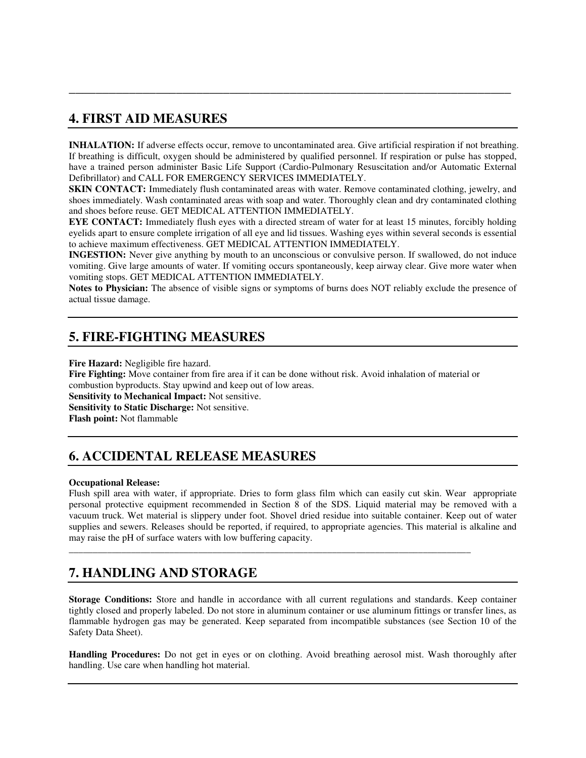### **4. FIRST AID MEASURES**

**INHALATION:** If adverse effects occur, remove to uncontaminated area. Give artificial respiration if not breathing. If breathing is difficult, oxygen should be administered by qualified personnel. If respiration or pulse has stopped, have a trained person administer Basic Life Support (Cardio-Pulmonary Resuscitation and/or Automatic External Defibrillator) and CALL FOR EMERGENCY SERVICES IMMEDIATELY.

**\_\_\_\_\_\_\_\_\_\_\_\_\_\_\_\_\_\_\_\_\_\_\_\_\_\_\_\_\_\_\_\_\_\_\_\_\_\_\_\_\_\_\_\_\_\_\_\_\_\_\_\_\_\_\_\_\_\_\_\_\_\_\_\_\_\_** 

**SKIN CONTACT:** Immediately flush contaminated areas with water. Remove contaminated clothing, jewelry, and shoes immediately. Wash contaminated areas with soap and water. Thoroughly clean and dry contaminated clothing and shoes before reuse. GET MEDICAL ATTENTION IMMEDIATELY.

**EYE CONTACT:** Immediately flush eyes with a directed stream of water for at least 15 minutes, forcibly holding eyelids apart to ensure complete irrigation of all eye and lid tissues. Washing eyes within several seconds is essential to achieve maximum effectiveness. GET MEDICAL ATTENTION IMMEDIATELY.

**INGESTION:** Never give anything by mouth to an unconscious or convulsive person. If swallowed, do not induce vomiting. Give large amounts of water. If vomiting occurs spontaneously, keep airway clear. Give more water when vomiting stops. GET MEDICAL ATTENTION IMMEDIATELY.

**Notes to Physician:** The absence of visible signs or symptoms of burns does NOT reliably exclude the presence of actual tissue damage.

### **5. FIRE-FIGHTING MEASURES**

**Fire Hazard:** Negligible fire hazard.

**Fire Fighting:** Move container from fire area if it can be done without risk. Avoid inhalation of material or combustion byproducts. Stay upwind and keep out of low areas.

**Sensitivity to Mechanical Impact:** Not sensitive.

**Sensitivity to Static Discharge:** Not sensitive.

**Flash point:** Not flammable

### **6. ACCIDENTAL RELEASE MEASURES**

#### **Occupational Release:**

Flush spill area with water, if appropriate. Dries to form glass film which can easily cut skin. Wear appropriate personal protective equipment recommended in Section 8 of the SDS. Liquid material may be removed with a vacuum truck. Wet material is slippery under foot. Shovel dried residue into suitable container. Keep out of water supplies and sewers. Releases should be reported, if required, to appropriate agencies. This material is alkaline and may raise the pH of surface waters with low buffering capacity.

**\_\_\_\_\_\_\_\_\_\_\_\_\_\_\_\_\_\_\_\_\_\_\_\_\_\_\_\_\_\_\_\_\_\_\_\_\_\_\_\_\_\_\_\_\_\_\_\_\_\_\_\_\_\_\_\_\_\_\_\_\_\_\_\_\_\_\_\_\_\_\_\_\_\_\_\_\_\_\_\_\_\_\_\_** 

### **7. HANDLING AND STORAGE**

**Storage Conditions:** Store and handle in accordance with all current regulations and standards. Keep container tightly closed and properly labeled. Do not store in aluminum container or use aluminum fittings or transfer lines, as flammable hydrogen gas may be generated. Keep separated from incompatible substances (see Section 10 of the Safety Data Sheet).

**Handling Procedures:** Do not get in eyes or on clothing. Avoid breathing aerosol mist. Wash thoroughly after handling. Use care when handling hot material.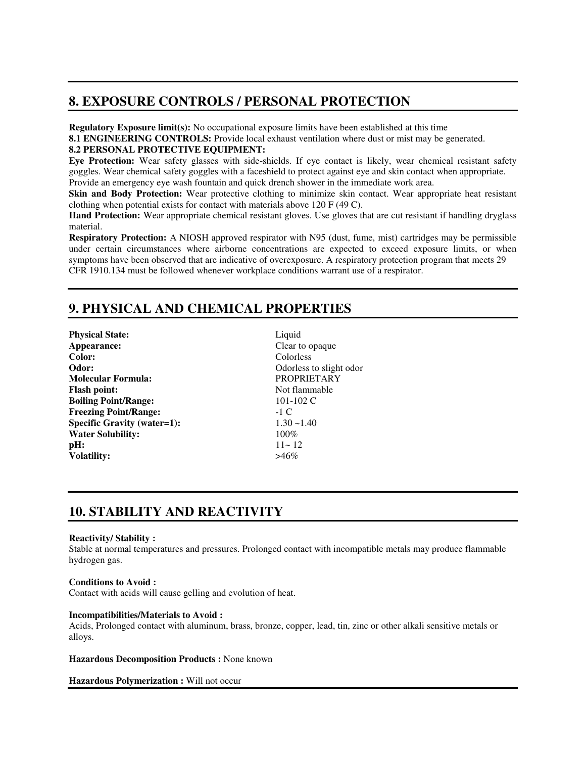### **8. EXPOSURE CONTROLS / PERSONAL PROTECTION**

**Regulatory Exposure limit(s):** No occupational exposure limits have been established at this time

**8.1 ENGINEERING CONTROLS:** Provide local exhaust ventilation where dust or mist may be generated.

#### **8.2 PERSONAL PROTECTIVE EQUIPMENT:**

**Eye Protection:** Wear safety glasses with side-shields. If eye contact is likely, wear chemical resistant safety goggles. Wear chemical safety goggles with a faceshield to protect against eye and skin contact when appropriate. Provide an emergency eye wash fountain and quick drench shower in the immediate work area.

**Skin and Body Protection:** Wear protective clothing to minimize skin contact. Wear appropriate heat resistant clothing when potential exists for contact with materials above 120 F (49 C).

**Hand Protection:** Wear appropriate chemical resistant gloves. Use gloves that are cut resistant if handling dryglass material.

**Respiratory Protection:** A NIOSH approved respirator with N95 (dust, fume, mist) cartridges may be permissible under certain circumstances where airborne concentrations are expected to exceed exposure limits, or when symptoms have been observed that are indicative of overexposure. A respiratory protection program that meets 29 CFR 1910.134 must be followed whenever workplace conditions warrant use of a respirator.

### **9. PHYSICAL AND CHEMICAL PROPERTIES**

**Physical State:** Liquid **Appearance:** Clear to opaque **Color:** Colorless **Odor:** Odorless to slight odor **Molecular Formula: Flash point:** Not flammable **Boiling Point/Range:** 101-102 C **Freezing Point/Range:** -1 C **Specific Gravity (water=1):** 1.30 ~1.40 **Water Solubility:** 100% **pH:**  $11 \sim 12$ **Volatility:** >46%

### **10. STABILITY AND REACTIVITY**

#### **Reactivity/ Stability :**

Stable at normal temperatures and pressures. Prolonged contact with incompatible metals may produce flammable hydrogen gas.

#### **Conditions to Avoid :**

Contact with acids will cause gelling and evolution of heat.

#### **Incompatibilities/Materials to Avoid :**

Acids, Prolonged contact with aluminum, brass, bronze, copper, lead, tin, zinc or other alkali sensitive metals or alloys.

**Hazardous Decomposition Products :** None known

**Hazardous Polymerization :** Will not occur